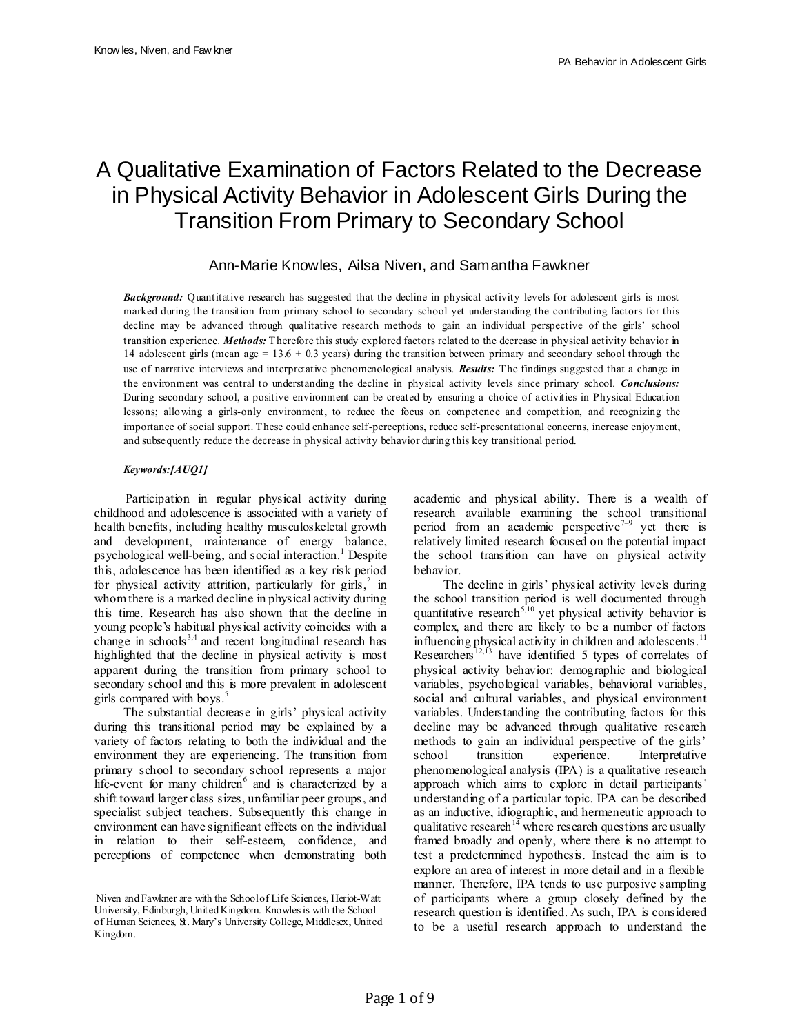# A Qualitative Examination of Factors Related to the Decrease in Physical Activity Behavior in Adolescent Girls During the Transition From Primary to Secondary School

#### Ann-Marie Knowles, Ailsa Niven, and Samantha Fawkner

*Background:* Quantitative research has suggested that the decline in physical activity levels for adolescent girls is most marked during the transition from primary school to secondary school yet understanding the contributing factors for this decline may be advanced through qualitative research methods to gain an individual perspective of the girls' school transition experience. *Methods:* Therefore this study explored factors related to the decrease in physical activity behavior in 14 adolescent girls (mean age =  $13.6 \pm 0.3$  years) during the transition between primary and secondary school through the use of narrative interviews and interpretative phenomenological analysis. *Results:* The findings suggested that a change in the environment was central to understanding the decline in physical activity levels since primary school. *Conclusions:* During secondary school, a positive environment can be created by ensuring a choice of activities in Physical Education lessons; allo wing a girls-only environment, to reduce the focus on competence and competition, and recognizing the importance of social support. These could enhance self-perceptions, reduce self-presentational concerns, increase enjoyment, and subsequently reduce the decrease in physical activity behavior during this key transitional period.

#### *Keywords:[AUQ1]*

l

Participation in regular physical activity during childhood and adolescence is associated with a variety of health benefits, including healthy musculoskeletal growth and development, maintenance of energy balance, psychological well-being, and social interaction.<sup>1</sup> Despite this, adolescence has been identified as a key risk period for physical activity attrition, particularly for girls, $2$  in whom there is a marked decline in physical activity during this time. Research has also shown that the decline in young people"s habitual physical activity coincides with a change in schools<sup>3,4</sup> and recent longitudinal research has highlighted that the decline in physical activity is most apparent during the transition from primary school to secondary school and this is more prevalent in adolescent girls compared with boys.<sup>3</sup>

The substantial decrease in girls' physical activity during this transitional period may be explained by a variety of factors relating to both the individual and the environment they are experiencing. The transition from primary school to secondary school represents a major life-event for many children $6$  and is characterized by a shift toward larger class sizes, unfamiliar peer groups, and specialist subject teachers. Subsequently this change in environment can have significant effects on the individual in relation to their self-esteem, confidence, and perceptions of competence when demonstrating both

academic and physical ability. There is a wealth of research available examining the school transitional period from an academic perspective<sup> $7-9$ </sup> yet there is relatively limited research focused on the potential impact the school transition can have on physical activity behavior.

The decline in girls' physical activity levels during the school transition period is well documented through quantitative research $5,10$  yet physical activity behavior is complex, and there are likely to be a number of factors influencing physical activity in children and adolescents.<sup>11</sup> Researchers<sup>12, f3</sup> have identified 5 types of correlates of physical activity behavior: demographic and biological variables, psychological variables, behavioral variables, social and cultural variables, and physical environment variables. Understanding the contributing factors for this decline may be advanced through qualitative research methods to gain an individual perspective of the girls' school transition experience. Interpretative phenomenological analysis (IPA) is a qualitative research approach which aims to explore in detail participants' understanding of a particular topic. IPA can be described as an inductive, idiographic, and hermeneutic approach to qualitative research $14$  where research questions are usually framed broadly and openly, where there is no attempt to test a predetermined hypothesis. Instead the aim is to explore an area of interest in more detail and in a flexible manner. Therefore, IPA tends to use purposive sampling of participants where a group closely defined by the research question is identified. As such, IPA is considered to be a useful research approach to understand the

Niven and Fawkner are with the School of Life Sciences, Heriot-Watt University, Edinburgh, United Kingdom. Knowles is with the School of Human Sciences, St. Mary"s University College, Middlesex, United Kingdom.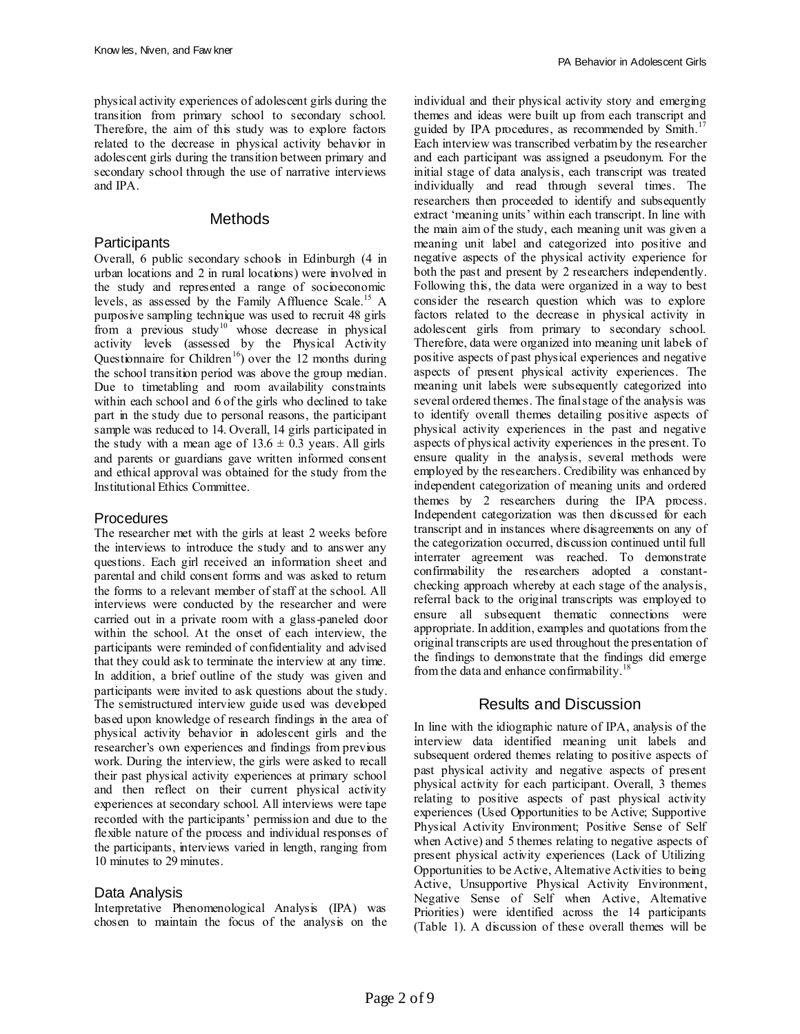physical activity experiences of adolescent girls during the transition from primary school to secondary school. Therefore, the aim of this study was to explore factors related to the decrease in physical activity behavior in adolescent girls during the transition between primary and secondary school through the use of narrative interviews and IPA.

#### Methods

#### **Participants**

Overall, 6 public secondary schools in Edinburgh (4 in urban locations and 2 in rural locations) were involved in the study and represented a range of socioeconomic levels, as assessed by the Family Affluence Scale.<sup>15</sup> A purposive sampling technique was used to recruit 48 girls from a previous study<sup>10</sup> whose decrease in physical activity levels (assessed by the Physical Activity Questionnaire for Children<sup>16</sup>) over the 12 months during the school transition period was above the group median. Due to timetabling and room availability constraints within each school and 6 of the girls who declined to take part in the study due to personal reasons, the participant sample was reduced to 14. Overall, 14 girls participated in the study with a mean age of  $13.6 \pm 0.3$  years. All girls and parents or guardians gave written informed consent and ethical approval was obtained for the study from the Institutional Ethics Committee.

#### **Procedures**

The researcher met with the girls at least 2 weeks before the interviews to introduce the study and to answer any questions. Each girl received an information sheet and parental and child consent forms and was asked to return the forms to a relevant member of staff at the school. All interviews were conducted by the researcher and were carried out in a private room with a glass-paneled door within the school. At the onset of each interview, the participants were reminded of confidentiality and advised that they could ask to terminate the interview at any time. In addition, a brief outline of the study was given and participants were invited to ask questions about the study. The semistructured interview guide used was developed based upon knowledge of research findings in the area of physical activity behavior in adolescent girls and the researcher"s own experiences and findings from previous work. During the interview, the girls were asked to recall their past physical activity experiences at primary school and then reflect on their current physical activity experiences at secondary school. All interviews were tape recorded with the participants' permission and due to the flexible nature of the process and individual responses of the participants, interviews varied in length, ranging from 10 minutes to 29 minutes.

## Data Analysis

Interpretative Phenomenological Analysis (IPA) was chosen to maintain the focus of the analysis on the individual and their physical activity story and emerging themes and ideas were built up from each transcript and guided by IPA procedures, as recommended by Smith.<sup>17</sup> Each interview was transcribed verbatim by the researcher and each participant was assigned a pseudonym. For the initial stage of data analysis, each transcript was treated individually and read through several times. The researchers then proceeded to identify and subsequently extract 'meaning units' within each transcript. In line with the main aim of the study, each meaning unit was given a meaning unit label and categorized into positive and negative aspects of the physical activity experience for both the past and present by 2 researchers independently. Following this, the data were organized in a way to best consider the research question which was to explore factors related to the decrease in physical activity in adolescent girls from primary to secondary school. Therefore, data were organized into meaning unit labels of positive aspects of past physical experiences and negative aspects of present physical activity experiences. The meaning unit labels were subsequently categorized into several ordered themes. The final stage of the analysis was to identify overall themes detailing positive aspects of physical activity experiences in the past and negative aspects of physical activity experiences in the present. To ensure quality in the analysis, several methods were employed by the researchers. Credibility was enhanced by independent categorization of meaning units and ordered themes by 2 researchers during the IPA process. Independent categorization was then discussed for each transcript and in instances where disagreements on any of the categorization occurred, discussion continued until full interrater agreement was reached. To demonstrate confirmability the researchers adopted a constantchecking approach whereby at each stage of the analysis, referral back to the original transcripts was employed to ensure all subsequent thematic connections were appropriate. In addition, examples and quotations from the original transcripts are used throughout the presentation of the findings to demonstrate that the findings did emerge from the data and enhance confirmability.<sup>1</sup>

## Results and Discussion

In line with the idiographic nature of IPA, analysis of the interview data identified meaning unit labels and subsequent ordered themes relating to positive aspects of past physical activity and negative aspects of present physical activity for each participant. Overall, 3 themes relating to positive aspects of past physical activity experiences (Used Opportunities to be Active; Supportive Physical Activity Environment; Positive Sense of Self when Active) and 5 themes relating to negative aspects of present physical activity experiences (Lack of Utilizing Opportunities to be Active, Alternative Activities to being Active, Unsupportive Physical Activity Environment, Negative Sense of Self when Active, Alternative Priorities) were identified across the 14 participants (Table 1). A discussion of these overall themes will be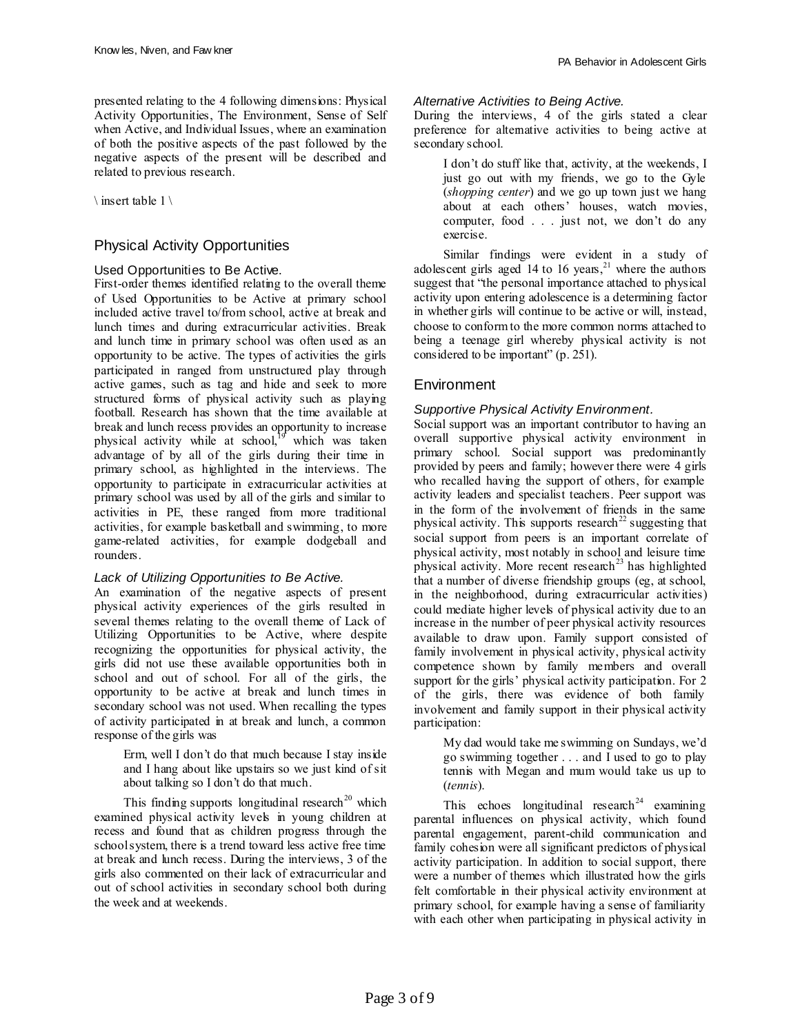presented relating to the 4 following dimensions: Physical Activity Opportunities, The Environment, Sense of Self when Active, and Individual Issues, where an examination of both the positive aspects of the past followed by the negative aspects of the present will be described and related to previous research.

\ insert table 1 \

# Physical Activity Opportunities

#### Used Opportunities to Be Active.

First-order themes identified relating to the overall theme of Used Opportunities to be Active at primary school included active travel to/from school, active at break and lunch times and during extracurricular activities. Break and lunch time in primary school was often used as an opportunity to be active. The types of activities the girls participated in ranged from unstructured play through active games, such as tag and hide and seek to more structured forms of physical activity such as playing football. Research has shown that the time available at break and lunch recess provides an opportunity to increase physical activity while at school,<sup>19</sup> which was taken advantage of by all of the girls during their time in primary school, as highlighted in the interviews. The opportunity to participate in extracurricular activities at primary school was used by all of the girls and similar to activities in PE, these ranged from more traditional activities, for example basketball and swimming, to more game-related activities, for example dodgeball and rounders.

#### *Lack of Utilizing Opportunities to Be Active.*

An examination of the negative aspects of present physical activity experiences of the girls resulted in several themes relating to the overall theme of Lack of Utilizing Opportunities to be Active, where despite recognizing the opportunities for physical activity, the girls did not use these available opportunities both in school and out of school. For all of the girls, the opportunity to be active at break and lunch times in secondary school was not used. When recalling the types of activity participated in at break and lunch, a common response of the girls was

Erm, well I don"t do that much because I stay inside and I hang about like upstairs so we just kind of sit about talking so I don"t do that much.

This finding supports longitudinal research<sup>20</sup> which examined physical activity levels in young children at recess and found that as children progress through the school system, there is a trend toward less active free time at break and lunch recess. During the interviews, 3 of the girls also commented on their lack of extracurricular and out of school activities in secondary school both during the week and at weekends.

#### *Alternative Activities to Being Active.*

During the interviews, 4 of the girls stated a clear preference for alternative activities to being active at secondary school.

I don"t do stuff like that, activity, at the weekends, I just go out with my friends, we go to the Gyle (*shopping center*) and we go up town just we hang about at each others" houses, watch movies, computer, food . . . just not, we don"t do any exercise.

Similar findings were evident in a study of adolescent girls aged 14 to 16 years, $2^1$  where the authors suggest that "the personal importance attached to physical activity upon entering adolescence is a determining factor in whether girls will continue to be active or will, instead, choose to conform to the more common norms attached to being a teenage girl whereby physical activity is not considered to be important" (p. 251).

# Environment

#### *Supportive Physical Activity Environment.*

Social support was an important contributor to having an overall supportive physical activity environment in primary school. Social support was predominantly provided by peers and family; however there were 4 girls who recalled having the support of others, for example activity leaders and specialist teachers. Peer support was in the form of the involvement of friends in the same physical activity. This supports research<sup>22</sup> suggesting that social support from peers is an important correlate of physical activity, most notably in school and leisure time physical activity. More recent research<sup>23</sup> has highlighted that a number of diverse friendship groups (eg, at school, in the neighborhood, during extracurricular activities) could mediate higher levels of physical activity due to an increase in the number of peer physical activity resources available to draw upon. Family support consisted of family involvement in physical activity, physical activity competence shown by family members and overall support for the girls' physical activity participation. For 2 of the girls, there was evidence of both family involvement and family support in their physical activity participation:

My dad would take me swimming on Sundays, we"d go swimming together . . . and I used to go to play tennis with Megan and mum would take us up to (*tennis*).

This echoes longitudinal research<sup>24</sup> examining parental influences on physical activity, which found parental engagement, parent-child communication and family cohesion were all significant predictors of physical activity participation. In addition to social support, there were a number of themes which illustrated how the girls felt comfortable in their physical activity environment at primary school, for example having a sense of familiarity with each other when participating in physical activity in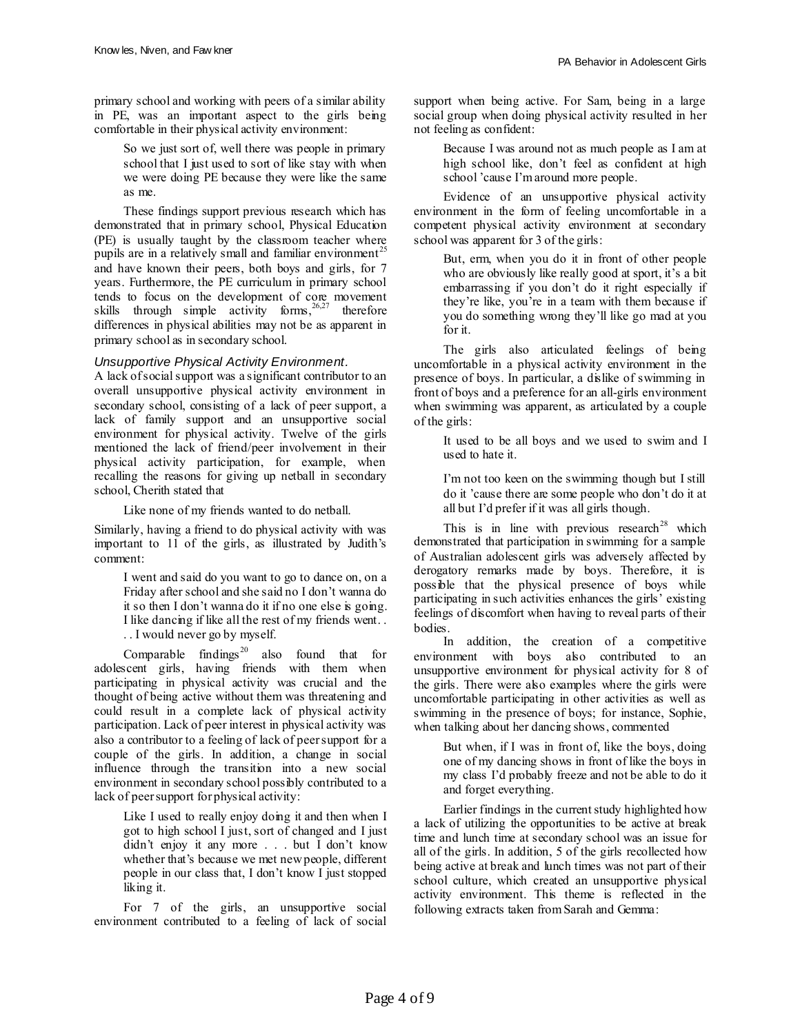primary school and working with peers of a similar ability in PE, was an important aspect to the girls being comfortable in their physical activity environment:

So we just sort of, well there was people in primary school that I just used to sort of like stay with when we were doing PE because they were like the same as me.

These findings support previous research which has demonstrated that in primary school, Physical Education (PE) is usually taught by the classroom teacher where pupils are in a relatively small and familiar environment<sup>25</sup> and have known their peers, both boys and girls, for 7 years. Furthermore, the PE curriculum in primary school tends to focus on the development of core movement skills through simple activity forms, $^{26,27}$  therefore differences in physical abilities may not be as apparent in primary school as in secondary school.

#### *Unsupportive Physical Activity Environment.*

A lack of social support was a significant contributor to an overall unsupportive physical activity environment in secondary school, consisting of a lack of peer support, a lack of family support and an unsupportive social environment for physical activity. Twelve of the girls mentioned the lack of friend/peer involvement in their physical activity participation, for example, when recalling the reasons for giving up netball in secondary school, Cherith stated that

Like none of my friends wanted to do netball.

Similarly, having a friend to do physical activity with was important to 11 of the girls, as illustrated by Judith"s comment:

I went and said do you want to go to dance on, on a Friday after school and she said no I don"t wanna do it so then I don't wanna do it if no one else is going. I like dancing if like all the rest of my friends went. . . . I would never go by myself.

Comparable findings<sup>20</sup> also found that for adolescent girls, having friends with them when participating in physical activity was crucial and the thought of being active without them was threatening and could result in a complete lack of physical activity participation. Lack of peer interest in physical activity was also a contributor to a feeling of lack of peer support for a couple of the girls. In addition, a change in social influence through the transition into a new social environment in secondary school possibly contributed to a lack of peer support for physical activity:

Like I used to really enjoy doing it and then when I got to high school I just, sort of changed and I just didn"t enjoy it any more . . . but I don"t know whether that's because we met new people, different people in our class that, I don"t know I just stopped liking it.

For 7 of the girls, an unsupportive social environment contributed to a feeling of lack of social support when being active. For Sam, being in a large social group when doing physical activity resulted in her not feeling as confident:

Because I was around not as much people as I am at high school like, don"t feel as confident at high school 'cause I'm around more people.

Evidence of an unsupportive physical activity environment in the form of feeling uncomfortable in a competent physical activity environment at secondary school was apparent for 3 of the girls:

But, erm, when you do it in front of other people who are obviously like really good at sport, it's a bit embarrassing if you don"t do it right especially if they"re like, you"re in a team with them because if you do something wrong they"ll like go mad at you for it.

The girls also articulated feelings of being uncomfortable in a physical activity environment in the presence of boys. In particular, a dislike of swimming in front of boys and a preference for an all-girls environment when swimming was apparent, as articulated by a couple of the girls:

It used to be all boys and we used to swim and I used to hate it.

I'm not too keen on the swimming though but I still do it "cause there are some people who don"t do it at all but I"d prefer if it was all girls though.

This is in line with previous research<sup>28</sup> which demonstrated that participation in swimming for a sample of Australian adolescent girls was adversely affected by derogatory remarks made by boys. Therefore, it is possible that the physical presence of boys while participating in such activities enhances the girls' existing feelings of discomfort when having to reveal parts of their bodies.

In addition, the creation of a competitive environment with boys also contributed to an unsupportive environment for physical activity for 8 of the girls. There were also examples where the girls were uncomfortable participating in other activities as well as swimming in the presence of boys; for instance, Sophie, when talking about her dancing shows, commented

But when, if I was in front of, like the boys, doing one of my dancing shows in front of like the boys in my class I"d probably freeze and not be able to do it and forget everything.

Earlier findings in the current study highlighted how a lack of utilizing the opportunities to be active at break time and lunch time at secondary school was an issue for all of the girls. In addition, 5 of the girls recollected how being active at break and lunch times was not part of their school culture, which created an unsupportive physical activity environment. This theme is reflected in the following extracts taken from Sarah and Gemma: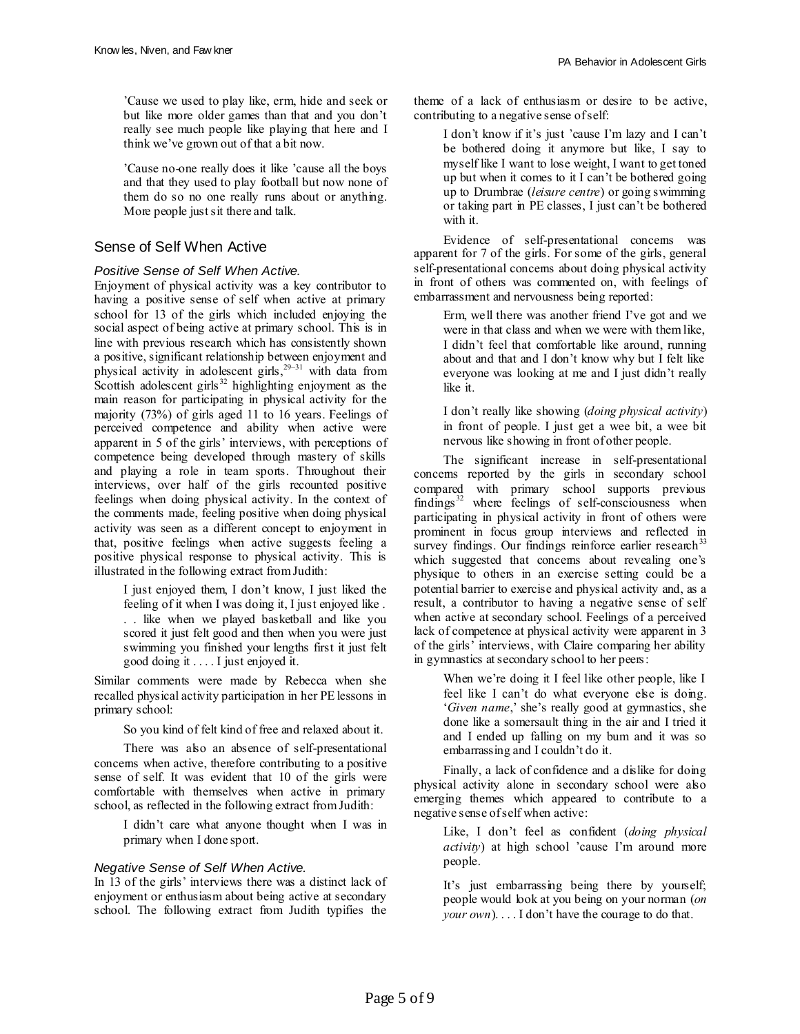'Cause we used to play like, erm, hide and seek or but like more older games than that and you don"t really see much people like playing that here and I think we"ve grown out of that a bit now.

"Cause no-one really does it like "cause all the boys and that they used to play football but now none of them do so no one really runs about or anything. More people just sit there and talk.

# Sense of Self When Active

#### *Positive Sense of Self When Active.*

Enjoyment of physical activity was a key contributor to having a positive sense of self when active at primary school for 13 of the girls which included enjoying the social aspect of being active at primary school. This is in line with previous research which has consistently shown a positive, significant relationship between enjoyment and physical activity in adolescent girls,<sup>29–31</sup> with data from Scottish adolescent girls  $32$  highlighting enjoyment as the main reason for participating in physical activity for the majority (73%) of girls aged 11 to 16 years. Feelings of perceived competence and ability when active were apparent in 5 of the girls' interviews, with perceptions of competence being developed through mastery of skills and playing a role in team sports. Throughout their interviews, over half of the girls recounted positive feelings when doing physical activity. In the context of the comments made, feeling positive when doing physical activity was seen as a different concept to enjoyment in that, positive feelings when active suggests feeling a positive physical response to physical activity. This is illustrated in the following extract from Judith:

I just enjoyed them, I don"t know, I just liked the feeling of it when I was doing it, I just enjoyed like . . . like when we played basketball and like you scored it just felt good and then when you were just swimming you finished your lengths first it just felt good doing it . . . . I just enjoyed it.

Similar comments were made by Rebecca when she recalled physical activity participation in her PE lessons in primary school:

So you kind of felt kind of free and relaxed about it.

There was also an absence of self-presentational concerns when active, therefore contributing to a positive sense of self. It was evident that 10 of the girls were comfortable with themselves when active in primary school, as reflected in the following extract from Judith:

I didn"t care what anyone thought when I was in primary when I done sport.

#### *Negative Sense of Self When Active.*

In 13 of the girls' interviews there was a distinct lack of enjoyment or enthusiasm about being active at secondary school. The following extract from Judith typifies the theme of a lack of enthusiasm or desire to be active, contributing to a negative sense of self:

I don't know if it's just 'cause I'm lazy and I can't be bothered doing it anymore but like, I say to myself like I want to lose weight, I want to get toned up but when it comes to it I can"t be bothered going up to Drumbrae (*leisure centre*) or going swimming or taking part in PE classes, I just can"t be bothered with it.

Evidence of self-presentational concerns was apparent for 7 of the girls. For some of the girls, general self-presentational concerns about doing physical activity in front of others was commented on, with feelings of embarrassment and nervousness being reported:

Erm, well there was another friend I"ve got and we were in that class and when we were with them like, I didn"t feel that comfortable like around, running about and that and I don"t know why but I felt like everyone was looking at me and I just didn"t really like it.

I don"t really like showing (*doing physical activity*) in front of people. I just get a wee bit, a wee bit nervous like showing in front of other people.

The significant increase in self-presentational concerns reported by the girls in secondary school compared with primary school supports previous findings $32$  where feelings of self-consciousness when participating in physical activity in front of others were prominent in focus group interviews and reflected in survey findings. Our findings reinforce earlier research<sup>33</sup> which suggested that concerns about revealing one's physique to others in an exercise setting could be a potential barrier to exercise and physical activity and, as a result, a contributor to having a negative sense of self when active at secondary school. Feelings of a perceived lack of competence at physical activity were apparent in 3 of the girls" interviews, with Claire comparing her ability in gymnastics at secondary school to her peers:

When we're doing it I feel like other people, like I feel like I can't do what everyone else is doing. "*Given name*," she"s really good at gymnastics, she done like a somersault thing in the air and I tried it and I ended up falling on my bum and it was so embarrassing and I couldn"t do it.

Finally, a lack of confidence and a dislike for doing physical activity alone in secondary school were also emerging themes which appeared to contribute to a negative sense of self when active:

Like, I don"t feel as confident (*doing physical activity*) at high school 'cause I'm around more people.

It's just embarrassing being there by yourself; people would look at you being on your norman (*on your own*). . . . I don"t have the courage to do that.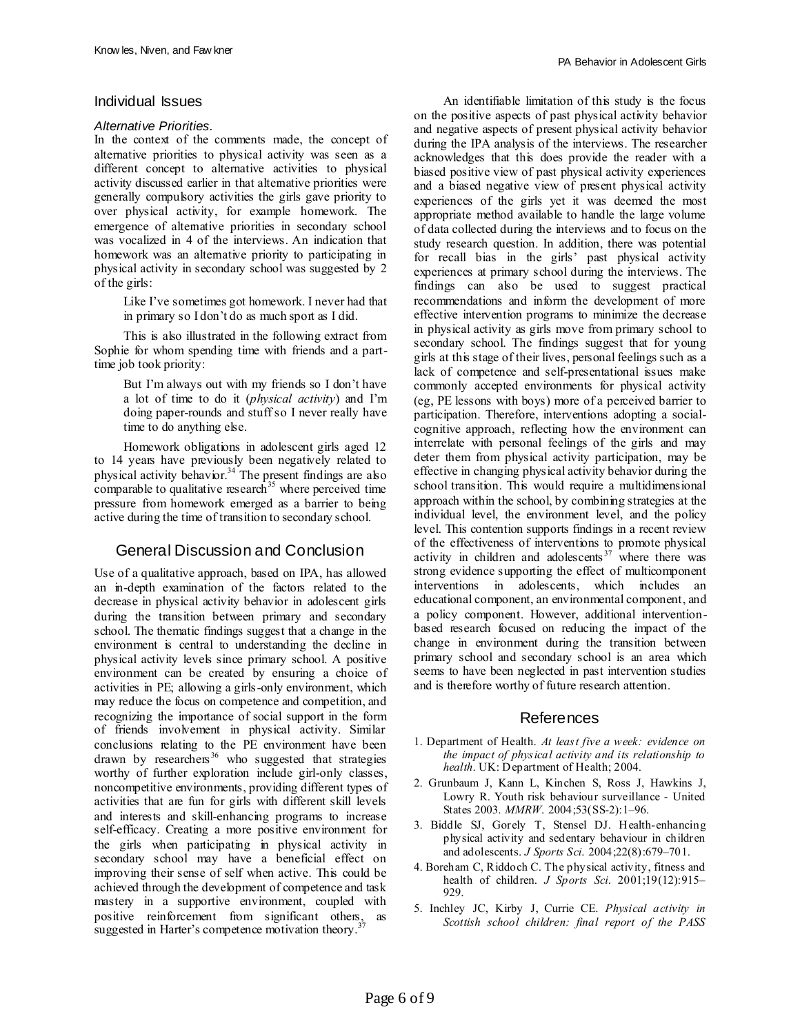#### Individual Issues

#### *Alternative Priorities.*

In the context of the comments made, the concept of alternative priorities to physical activity was seen as a different concept to alternative activities to physical activity discussed earlier in that alternative priorities were generally compulsory activities the girls gave priority to over physical activity, for example homework. The emergence of alternative priorities in secondary school was vocalized in 4 of the interviews. An indication that homework was an alternative priority to participating in physical activity in secondary school was suggested by 2 of the girls:

Like I've sometimes got homework. I never had that in primary so I don"t do as much sport as I did.

This is also illustrated in the following extract from Sophie for whom spending time with friends and a parttime job took priority:

But I'm always out with my friends so I don't have a lot of time to do it (*physical activity*) and I"m doing paper-rounds and stuff so I never really have time to do anything else.

Homework obligations in adolescent girls aged 12 to 14 years have previously been negatively related to physical activity behavior.<sup>34</sup> The present findings are also comparable to qualitative research<sup>35</sup> where perceived time pressure from homework emerged as a barrier to being active during the time of transition to secondary school.

## General Discussion and Conclusion

Use of a qualitative approach, based on IPA, has allowed an in-depth examination of the factors related to the decrease in physical activity behavior in adolescent girls during the transition between primary and secondary school. The thematic findings suggest that a change in the environment is central to understanding the decline in physical activity levels since primary school. A positive environment can be created by ensuring a choice of activities in PE; allowing a girls-only environment, which may reduce the focus on competence and competition, and recognizing the importance of social support in the form of friends involvement in physical activity. Similar conclusions relating to the PE environment have been drawn by researchers<sup>36</sup> who suggested that strategies worthy of further exploration include girl-only classes, noncompetitive environments, providing different types of activities that are fun for girls with different skill levels and interests and skill-enhancing programs to increase self-efficacy. Creating a more positive environment for the girls when participating in physical activity in secondary school may have a beneficial effect on improving their sense of self when active. This could be achieved through the development of competence and task mastery in a supportive environment, coupled with positive reinforcement from significant others, as suggested in Harter's competence motivation theory.

An identifiable limitation of this study is the focus on the positive aspects of past physical activity behavior and negative aspects of present physical activity behavior during the IPA analysis of the interviews. The researcher acknowledges that this does provide the reader with a biased positive view of past physical activity experiences and a biased negative view of present physical activity experiences of the girls yet it was deemed the most appropriate method available to handle the large volume of data collected during the interviews and to focus on the study research question. In addition, there was potential for recall bias in the girls' past physical activity experiences at primary school during the interviews. The findings can also be used to suggest practical recommendations and inform the development of more effective intervention programs to minimize the decrease in physical activity as girls move from primary school to secondary school. The findings suggest that for young girls at this stage of their lives, personal feelings such as a lack of competence and self-presentational issues make commonly accepted environments for physical activity (eg, PE lessons with boys) more of a perceived barrier to participation. Therefore, interventions adopting a socialcognitive approach, reflecting how the environment can interrelate with personal feelings of the girls and may deter them from physical activity participation, may be effective in changing physical activity behavior during the school transition. This would require a multidimensional approach within the school, by combining strategies at the individual level, the environment level, and the policy level. This contention supports findings in a recent review of the effectiveness of interventions to promote physical activity in children and adolescents<sup>37</sup> where there was strong evidence supporting the effect of multicomponent interventions in adolescents, which includes an educational component, an environmental component, and a policy component. However, additional interventionbased research focused on reducing the impact of the change in environment during the transition between primary school and secondary school is an area which seems to have been neglected in past intervention studies and is therefore worthy of future research attention.

#### References

- 1. Department of Health. *At least five a week: evidence on the impact of physical activity and its relationship to health*. UK: Department of Health; 2004.
- 2. Grunbaum J, Kann L, Kinchen S, Ross J, Hawkins J, Lowry R. Youth risk behaviour surveillance - United States 2003. *MMRW*. 2004;53(SS-2):1–96.
- 3. Biddle SJ, Gorely T, Stensel DJ. Health-enhancing physical activity and sedentary behaviour in children and adolescents. *J Sports Sci*. 2004;22(8):679–701.
- 4. Boreham C, Riddoch C. The physical activity, fitness and health of children. *J Sports Sci*. 2001;19(12):915– 929.
- 5. Inchley JC, Kirby J, Currie CE. *Physical activity in Scottish school children: final report of the PASS*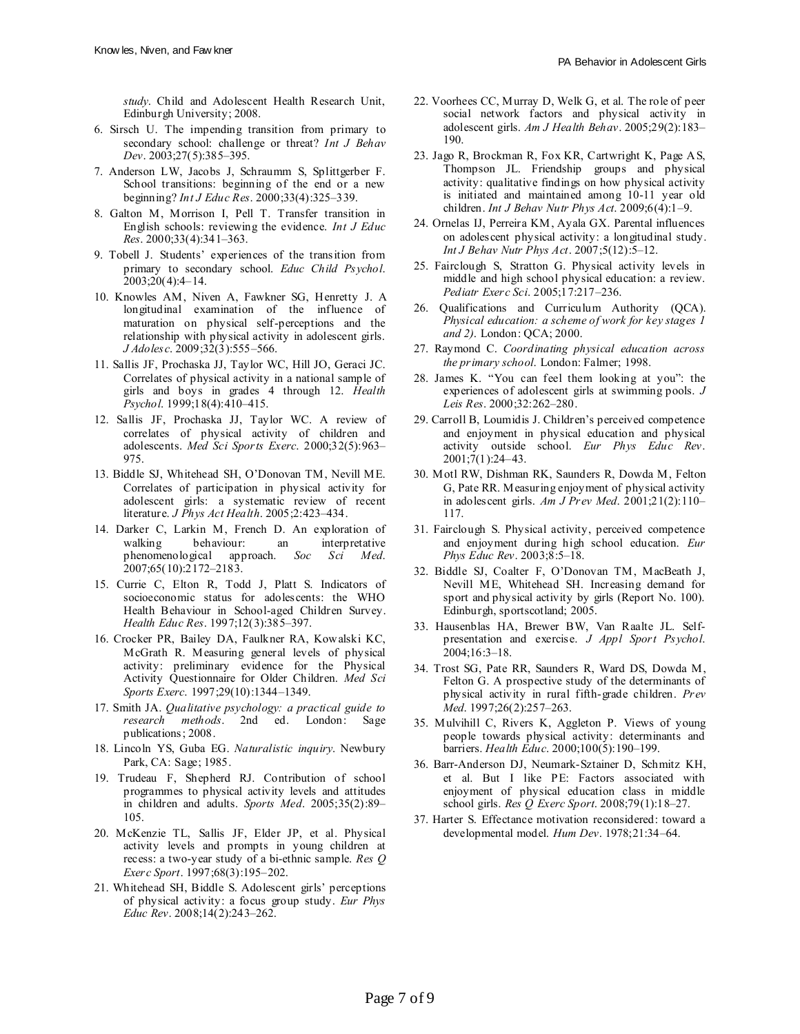*study*. Child and Adolescent Health Research Unit, Edinburgh University; 2008.

- 6. Sirsch U. The impending transition from primary to secondary school: challenge or threat? *Int J Behav Dev*. 2003;27(5):385–395.
- 7. Anderson LW, Jacobs J, Schraumm S, Splittgerber F. School transitions: beginning of the end or a new beginning? *Int J Educ Res*. 2000;33(4):325–339.
- 8. Galton M, Morrison I, Pell T. Transfer transition in English schools: reviewing the evidence. *Int J Educ Res*. 2000;33(4):341–363.
- 9. Tobell J. Students" experiences of the transition from primary to secondary school. *Educ Child Psychol*. 2003;20(4):4–14.
- 10. Knowles AM, Niven A, Fawkner SG, Henretty J. A longitudinal examination of the influence of maturation on physical self-perceptions and the relationship with physical activity in adolescent girls. *J Adolesc*. 2009;32(3):555–566.
- 11. Sallis JF, Prochaska JJ, Taylor WC, Hill JO, Geraci JC. Correlates of physical activity in a national sample of girls and boys in grades 4 through 12. *Health Psychol*. 1999;18(4):410–415.
- 12. Sallis JF, Prochaska JJ, Taylor WC. A review of correlates of physical activity of children and adolescents. *Med Sci Sports Exerc*. 2000;32(5):963– 975.
- 13. Biddle SJ, Whitehead SH, O"Donovan TM, Nevill ME. Correlates of participation in physical activity for adolescent girls: a systematic review of recent literature. *J Phys Act Health*. 2005;2:423–434.
- 14. Darker C, Larkin M, French D. An exploration of walking behaviour: an interpretative phenomenological approach. *Soc Sci Med*. 2007;65(10):2172–2183.
- 15. Currie C, Elton R, Todd J, Platt S. Indicators of socioeconomic status for adolescents: the WHO Health Behaviour in School-aged Children Survey. *Health Educ Res*. 1997;12(3):385–397.
- 16. Crocker PR, Bailey DA, Faulkner RA, Kowalski KC, McGrath R. Measuring general levels of physical activity: preliminary evidence for the Physical Activity Questionnaire for Older Children. *Med Sci Sports Exerc*. 1997;29(10):1344–1349.
- 17. Smith JA. *Qualitative psychology: a practical guide to research methods*. 2nd ed. London: Sage publications; 2008.
- 18. Lincoln YS, Guba EG. *Naturalistic inquiry*. Newbury Park, CA: Sage; 1985.
- 19. Trudeau F, Shepherd RJ. Contribution of school programmes to physical activity levels and attitudes in children and adults. *Sports Med*. 2005;35(2):89– 105.
- 20. McKenzie TL, Sallis JF, Elder JP, et al. Physical activity levels and prompts in young children at recess: a two-year study of a bi-ethnic sample. *Res Q Exerc Sport*. 1997;68(3):195–202.
- 21. Whitehead SH, Biddle S. Adolescent girls" perceptions of physical activity: a focus group study. *Eur Phys Educ Rev*. 2008;14(2):243–262.
- 22. Voorhees CC, Murray D, Welk G, et al. The role of peer social network factors and physical activity in adolescent girls. *Am J Health Behav*. 2005;29(2):183– 190.
- 23. Jago R, Brockman R, Fox KR, Cartwright K, Page AS, Thompson JL. Friendship groups and physical activity: qualitative findings on how physical activity is initiated and maintained among 10-11 year old children. *Int J Behav Nutr Phys Act*. 2009;6(4):1–9.
- 24. Ornelas IJ, Perreira KM, Ayala GX. Parental influences on adolescent physical activity: a longitudinal study. *Int J Behav Nutr Phys Act*. 2007;5(12):5–12.
- 25. Fairclough S, Stratton G. Physical activity levels in middle and high school physical education: a review. *Pediatr Exerc Sci*. 2005;17:217–236.
- 26. Qualifications and Curriculum Authority (QCA). *Physical education: a scheme of work for key stages 1 and 2)*. London: QCA; 2000.
- 27. Raymond C. *Coordinating physical education across the primary school*. London: Falmer; 1998.
- 28. James K. "You can feel them looking at you": the experiences of adolescent girls at swimming pools. *J Leis Res*. 2000;32:262–280.
- 29. Carroll B, Loumidis J. Children"s perceived competence and enjoyment in physical education and physical activity outside school. *Eur Phys Educ Rev*. 2001;7(1):24–43.
- 30. Motl RW, Dishman RK, Saunders R, Dowda M, Felton G, Pate RR. Measuring enjoyment of physical activity in adolescent girls. *Am J Prev Med*. 2001;21(2):110– 117.
- 31. Fairclough S. Physical activity, perceived competence and enjoyment during high school education. *Eur Phys Educ Rev*. 2003;8:5–18.
- 32. Biddle SJ, Coalter F, O"Donovan TM, MacBeath J, Nevill ME, Whitehead SH. Increasing demand for sport and physical activity by girls (Report No. 100). Edinburgh, sportscotland; 2005.
- 33. Hausenblas HA, Brewer BW, Van Raalte JL. Selfpresentation and exercise. *J Appl Sport Psychol*. 2004;16:3–18.
- 34. Trost SG, Pate RR, Saunders R, Ward DS, Dowda M, Felton G. A prospective study of the determinants of physical activity in rural fifth-grade children. *Prev Med*. 1997;26(2):257–263.
- 35. Mulvihill C, Rivers K, Aggleton P. Views of young people towards physical activity: determinants and barriers. *Health Educ*. 2000;100(5):190–199.
- 36. Barr-Anderson DJ, Neumark-Sztainer D, Schmitz KH, et al. But I like PE: Factors associated with enjoyment of physical education class in middle school girls. *Res Q Exerc Sport*. 2008;79(1):18–27.
- 37. Harter S. Effectance motivation reconsidered: toward a developmental model. *Hum Dev*. 1978;21:34–64.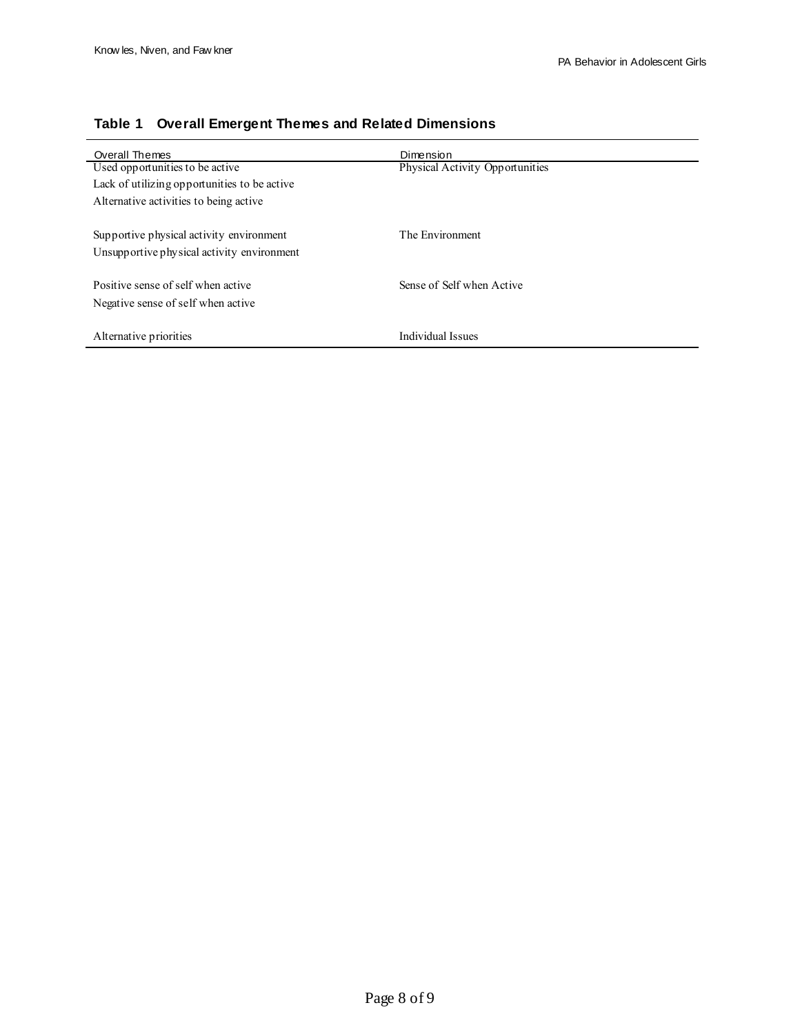| Overall Themes                                | Dimension                       |
|-----------------------------------------------|---------------------------------|
| Used opportunities to be active.              | Physical Activity Opportunities |
| Lack of utilizing opportunities to be active. |                                 |
| Alternative activities to being active        |                                 |
|                                               |                                 |
| Supportive physical activity environment      | The Environment                 |
| Unsupportive physical activity environment    |                                 |
|                                               |                                 |
| Positive sense of self when active            | Sense of Self when Active       |
| Negative sense of self when active            |                                 |
|                                               |                                 |
| Alternative priorities                        | Individual Issues               |

# **Table 1 Overall Emergent Themes and Related Dimensions**